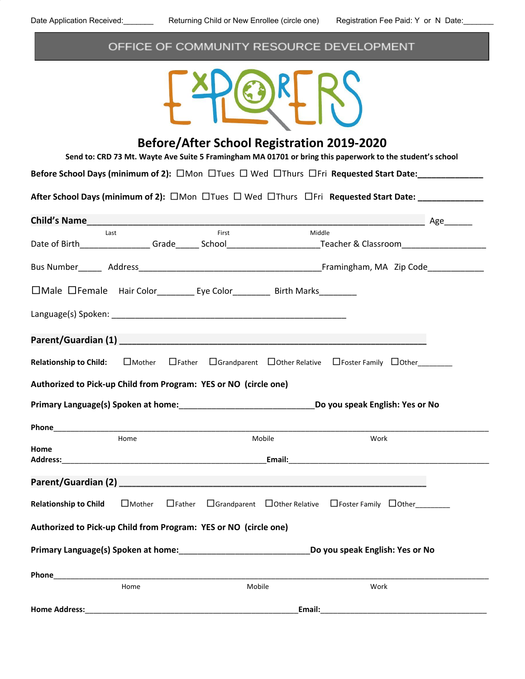# OFFICE OF COMMUNITY RESOURCE DEVELOPMENT



# **Before/After School Registration 2019-2020**

Send to: CRD 73 Mt. Wayte Ave Suite 5 Framingham MA 01701 or bring this paperwork to the student's school

**Before School Days (minimum of 2):** □Mon □Tues □ Wed □Thurs □Fri Requested Start Date:

**After School Days (minimum of 2):** □Mon □Tues □ Wed □Thurs □Fri **Requested Start Date: \_\_\_\_\_\_\_\_\_\_\_\_\_\_**

| <b>Child's Name</b>                                                            |               |                |                                 |        | and the control of the Age and the Age and the Age and the Age and the Age and the Age and the Age and the Age |  |
|--------------------------------------------------------------------------------|---------------|----------------|---------------------------------|--------|----------------------------------------------------------------------------------------------------------------|--|
| Last                                                                           |               |                | First                           | Middle | Date of Birth________________Grade______School__________________________Teacher & Classroom___________________ |  |
|                                                                                |               |                |                                 |        |                                                                                                                |  |
| □Male □Female Hair Color___________ Eye Color___________ Birth Marks__________ |               |                |                                 |        |                                                                                                                |  |
|                                                                                |               |                |                                 |        |                                                                                                                |  |
|                                                                                |               |                |                                 |        |                                                                                                                |  |
| <b>Relationship to Child:</b>                                                  | $\Box$ Mother |                |                                 |        | $\Box$ Father $\Box$ Grandparent $\Box$ Other Relative $\Box$ Foster Family $\Box$ Other                       |  |
| Authorized to Pick-up Child from Program: YES or NO (circle one)               |               |                |                                 |        |                                                                                                                |  |
|                                                                                |               |                |                                 |        |                                                                                                                |  |
|                                                                                |               |                |                                 |        |                                                                                                                |  |
| Home<br>Home                                                                   |               | Mobile<br>Work |                                 |        |                                                                                                                |  |
|                                                                                |               |                |                                 |        |                                                                                                                |  |
| <b>Relationship to Child</b>                                                   | $\Box$ Mother | $\Box$ Father  |                                 |        | $\Box$ Grandparent $\Box$ Other Relative $\Box$ Foster Family $\Box$ Other                                     |  |
| Authorized to Pick-up Child from Program: YES or NO (circle one)               |               |                |                                 |        |                                                                                                                |  |
|                                                                                |               |                | Do you speak English: Yes or No |        |                                                                                                                |  |
| <b>Phone <i>Phone Phone</i></b>                                                |               |                |                                 |        |                                                                                                                |  |
| <b>Home Address:</b>                                                           | Home          |                | Mobile                          | Email: | Work                                                                                                           |  |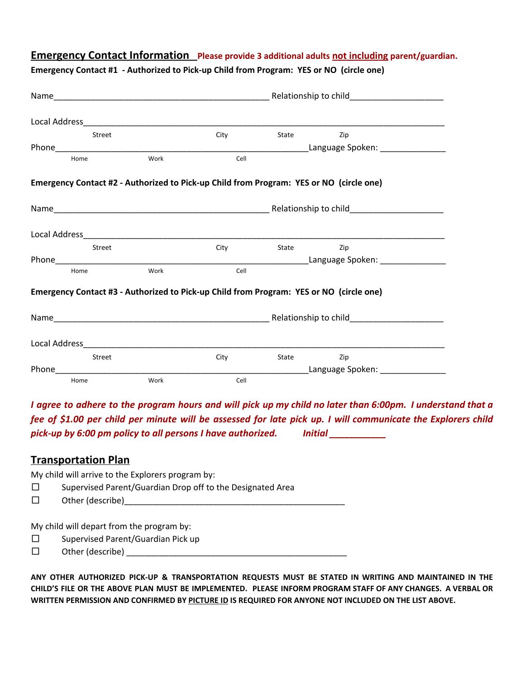#### **Emergency Contact Information Please provide 3 additional adults not including parent/guardian.**

|              | Street |      | City                                                                                    | <b>State State</b> | Zip                              |  |  |
|--------------|--------|------|-----------------------------------------------------------------------------------------|--------------------|----------------------------------|--|--|
|              |        |      |                                                                                         |                    |                                  |  |  |
| Home         |        | Work | Cell                                                                                    |                    |                                  |  |  |
|              |        |      | Emergency Contact #2 - Authorized to Pick-up Child from Program: YES or NO (circle one) |                    |                                  |  |  |
|              |        |      |                                                                                         |                    |                                  |  |  |
|              |        |      |                                                                                         |                    |                                  |  |  |
|              | Street |      | City                                                                                    | <b>State State</b> | Zip                              |  |  |
|              |        |      |                                                                                         |                    |                                  |  |  |
| Work<br>Home |        |      | Cell                                                                                    |                    |                                  |  |  |
|              |        |      | Emergency Contact #3 - Authorized to Pick-up Child from Program: YES or NO (circle one) |                    |                                  |  |  |
|              |        |      |                                                                                         |                    |                                  |  |  |
|              |        |      |                                                                                         |                    |                                  |  |  |
|              | Street |      | City                                                                                    | <b>State State</b> | Zip                              |  |  |
|              |        |      |                                                                                         |                    | Language Spoken: _______________ |  |  |
| Home         |        | Work | Cell                                                                                    |                    |                                  |  |  |

**Emergency Contact #1 - Authorized to Pick-up Child from Program: YES or NO (circle one)**

I agree to adhere to the program hours and will pick up my child no later than 6:00pm. I understand that a fee of \$1.00 per child per minute will be assessed for late pick up. I will communicate the Explorers child *pick-up by 6:00 pm policy to all persons I have authorized. Initial \_\_\_\_\_\_\_\_\_\_\_*

#### **Transportation Plan**

My child will arrive to the Explorers program by:

- □ Supervised Parent/Guardian Drop off to the Designated Area
- $\Box$  Other (describe)

My child will depart from the program by:

- □ Supervised Parent/Guardian Pick up
- □ Other (describe) \_\_\_\_\_\_\_\_\_\_\_\_\_\_\_\_\_\_\_\_\_\_\_\_\_\_\_\_\_\_\_\_\_\_\_\_\_\_\_\_\_\_\_\_\_\_\_

**ANY OTHER AUTHORIZED PICK-UP & TRANSPORTATION REQUESTS MUST BE STATED IN WRITING AND MAINTAINED IN THE** CHILD'S FILE OR THE ABOVE PLAN MUST BE IMPLEMENTED. PLEASE INFORM PROGRAM STAFF OF ANY CHANGES. A VERBAL OR **WRITTEN PERMISSION AND CONFIRMED BY PICTURE ID IS REQUIRED FOR ANYONE NOT INCLUDED ON THE LIST ABOVE.**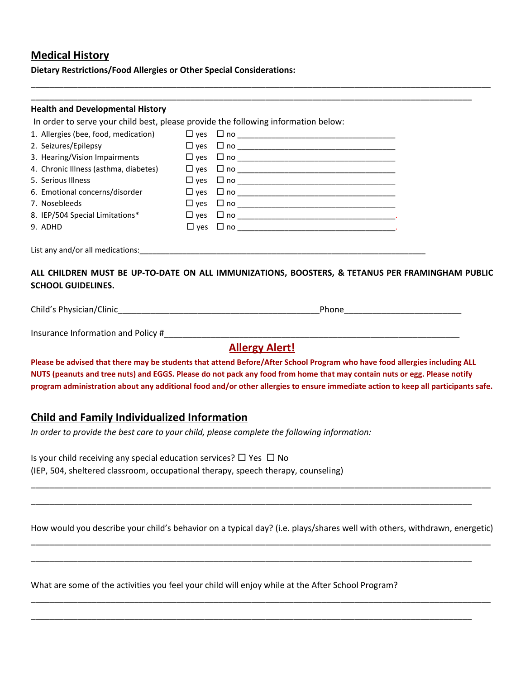## **Medical History**

**Dietary Restrictions/Food Allergies or Other Special Considerations:**

#### **Health and Developmental History**

In order to serve your child best, please provide the following information below:

| 1. Allergies (bee, food, medication)  | $\square$ ves | $\Box$ no $\Box$           |
|---------------------------------------|---------------|----------------------------|
| 2. Seizures/Epilepsy                  |               | $\Box$ yes $\Box$ no       |
| 3. Hearing/Vision Impairments         |               |                            |
| 4. Chronic Illness (asthma, diabetes) |               |                            |
| 5. Serious Illness                    |               | $\square$ yes $\square$ no |
| 6. Emotional concerns/disorder        |               | $\Box$ yes $\Box$ no       |
| 7. Nosebleeds                         | $\square$ ves | $\Box$ no $\Box$           |
| 8. IEP/504 Special Limitations*       | $\square$ ves | $\Box$ no $\Box$           |
| 9. ADHD                               | $\Box$ yes    | $\square$ no $\square$     |
|                                       |               |                            |

List any and/or all medications:

#### **ALL CHILDREN MUST BE UP-TO-DATE ON ALL IMMUNIZATIONS, BOOSTERS, & TETANUS PER FRAMINGHAM PUBLIC SCHOOL GUIDELINES.**

\_\_\_\_\_\_\_\_\_\_\_\_\_\_\_\_\_\_\_\_\_\_\_\_\_\_\_\_\_\_\_\_\_\_\_\_\_\_\_\_\_\_\_\_\_\_\_\_\_\_\_\_\_\_\_\_\_\_\_\_\_\_\_\_\_\_\_\_\_\_\_\_\_\_\_\_\_\_\_\_\_\_\_\_\_\_\_\_\_\_\_\_\_\_\_\_\_\_ \_\_\_\_\_\_\_\_\_\_\_\_\_\_\_\_\_\_\_\_\_\_\_\_\_\_\_\_\_\_\_\_\_\_\_\_\_\_\_\_\_\_\_\_\_\_\_\_\_\_\_\_\_\_\_\_\_\_\_\_\_\_\_\_\_\_\_\_\_\_\_\_\_\_\_\_\_\_\_\_\_\_\_\_\_\_\_\_\_\_\_\_\_\_

Child's Physician/Clinic\_\_\_\_\_\_\_\_\_\_\_\_\_\_\_\_\_\_\_\_\_\_\_\_\_\_\_\_\_\_\_\_\_\_\_\_\_\_\_\_\_\_\_Phone\_\_\_\_\_\_\_\_\_\_\_\_\_\_\_\_\_\_\_\_\_\_\_\_\_

Insurance Information and Policy #\_\_\_\_\_\_\_\_\_\_\_\_\_\_\_\_\_\_\_\_\_\_\_\_\_\_\_\_\_\_\_\_\_\_\_\_\_\_\_\_\_\_\_\_\_\_\_\_\_\_\_\_\_\_\_\_\_\_\_\_\_\_\_

# **Allergy Alert!**

Please be advised that there may be students that attend Before/After School Program who have food allergies including ALL NUTS (peanuts and tree nuts) and EGGS. Please do not pack any food from home that may contain nuts or egg. Please notify program administration about any additional food and/or other allergies to ensure immediate action to keep all participants safe.

### **Child and Family Individualized Information**

*In order to provide the best care to your child, please complete the following information:*

| Is your child receiving any special education services? $\Box$ Yes $\Box$ No      |  |
|-----------------------------------------------------------------------------------|--|
| (IEP, 504, sheltered classroom, occupational therapy, speech therapy, counseling) |  |

How would you describe your child's behavior on a typical day? (i.e. plays/shares well with others, withdrawn, energetic) \_\_\_\_\_\_\_\_\_\_\_\_\_\_\_\_\_\_\_\_\_\_\_\_\_\_\_\_\_\_\_\_\_\_\_\_\_\_\_\_\_\_\_\_\_\_\_\_\_\_\_\_\_\_\_\_\_\_\_\_\_\_\_\_\_\_\_\_\_\_\_\_\_\_\_\_\_\_\_\_\_\_\_\_\_\_\_\_\_\_\_\_\_\_\_\_\_\_

\_\_\_\_\_\_\_\_\_\_\_\_\_\_\_\_\_\_\_\_\_\_\_\_\_\_\_\_\_\_\_\_\_\_\_\_\_\_\_\_\_\_\_\_\_\_\_\_\_\_\_\_\_\_\_\_\_\_\_\_\_\_\_\_\_\_\_\_\_\_\_\_\_\_\_\_\_\_\_\_\_\_\_\_\_\_\_\_\_\_\_\_\_\_\_\_\_\_

\_\_\_\_\_\_\_\_\_\_\_\_\_\_\_\_\_\_\_\_\_\_\_\_\_\_\_\_\_\_\_\_\_\_\_\_\_\_\_\_\_\_\_\_\_\_\_\_\_\_\_\_\_\_\_\_\_\_\_\_\_\_\_\_\_\_\_\_\_\_\_\_\_\_\_\_\_\_\_\_\_\_\_\_\_\_\_\_\_\_\_\_\_\_\_\_\_\_

\_\_\_\_\_\_\_\_\_\_\_\_\_\_\_\_\_\_\_\_\_\_\_\_\_\_\_\_\_\_\_\_\_\_\_\_\_\_\_\_\_\_\_\_\_\_\_\_\_\_\_\_\_\_\_\_\_\_\_\_\_\_\_\_\_\_\_\_\_\_\_\_\_\_\_\_\_\_\_\_\_\_\_\_\_\_\_\_\_\_\_\_\_\_

\_\_\_\_\_\_\_\_\_\_\_\_\_\_\_\_\_\_\_\_\_\_\_\_\_\_\_\_\_\_\_\_\_\_\_\_\_\_\_\_\_\_\_\_\_\_\_\_\_\_\_\_\_\_\_\_\_\_\_\_\_\_\_\_\_\_\_\_\_\_\_\_\_\_\_\_\_\_\_\_\_\_\_\_\_\_\_\_\_\_\_\_\_\_

\_\_\_\_\_\_\_\_\_\_\_\_\_\_\_\_\_\_\_\_\_\_\_\_\_\_\_\_\_\_\_\_\_\_\_\_\_\_\_\_\_\_\_\_\_\_\_\_\_\_\_\_\_\_\_\_\_\_\_\_\_\_\_\_\_\_\_\_\_\_\_\_\_\_\_\_\_\_\_\_\_\_\_\_\_\_\_\_\_\_\_\_\_\_

What are some of the activities you feel your child will enjoy while at the After School Program?